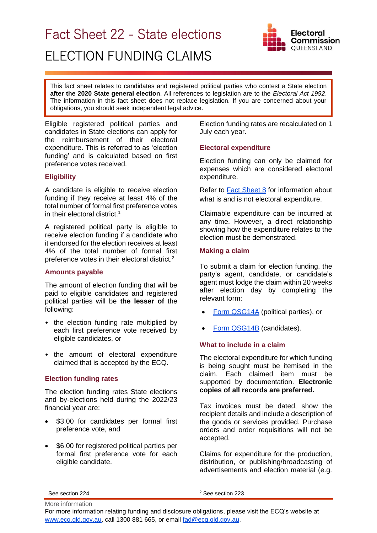# Fact Sheet 22 - State elections ELECTION FUNDING CLAIMS



This fact sheet relates to candidates and registered political parties who contest a State election **after the 2020 State general election**. All references to legislation are to the *Electoral Act 1992*. The information in this fact sheet does not replace legislation. If you are concerned about your obligations, you should seek independent legal advice.

Eligible registered political parties and candidates in State elections can apply for the reimbursement of their electoral expenditure. This is referred to as 'election funding' and is calculated based on first preference votes received.

# **Eligibility**

A candidate is eligible to receive election funding if they receive at least 4% of the total number of formal first preference votes in their electoral district.<sup>1</sup>

A registered political party is eligible to receive election funding if a candidate who it endorsed for the election receives at least 4% of the total number of formal first preference votes in their electoral district.<sup>2</sup>

## **Amounts payable**

The amount of election funding that will be paid to eligible candidates and registered political parties will be **the lesser of** the following:

- the election funding rate multiplied by each first preference vote received by eligible candidates, or
- the amount of electoral expenditure claimed that is accepted by the ECQ.

## **Election funding rates**

The election funding rates State elections and by-elections held during the 2022/23 financial year are:

- \$3.00 for candidates per formal first preference vote, and
- \$6.00 for registered political parties per formal first preference vote for each eligible candidate.

Election funding rates are recalculated on 1 July each year.

## **Electoral expenditure**

Election funding can only be claimed for expenses which are considered electoral expenditure.

Refer to **Fact Sheet 8** for information about what is and is not electoral expenditure.

Claimable expenditure can be incurred at any time. However, a direct relationship showing how the expenditure relates to the election must be demonstrated.

### **Making a claim**

To submit a claim for election funding, the party's agent, candidate, or candidate's agent must lodge the claim within 20 weeks after election day by completing the relevant form:

- [Form QSG14A](https://www.ecq.qld.gov.au/candidates-and-parties/handbooks-and-forms) (political parties), or
- **[Form QSG14B](https://www.ecq.qld.gov.au/candidates-and-parties/handbooks-and-forms)** (candidates).

## **What to include in a claim**

The electoral expenditure for which funding is being sought must be itemised in the claim. Each claimed item must be supported by documentation. **Electronic copies of all records are preferred.** 

Tax invoices must be dated, show the recipient details and include a description of the goods or services provided. Purchase orders and order requisitions will not be accepted.

Claims for expenditure for the production, distribution, or publishing/broadcasting of advertisements and election material (e.g.

More information <sup>1</sup> See section 224

<sup>2</sup> See section 223

For more information relating funding and disclosure obligations, please visit the ECQ's website at [www.ecq.qld.gov.au,](http://www.ecq.qld.gov.au/) call 1300 881 665, or email [fad@ecq.qld.gov.au.](mailto:fad@ecq.qld.gov.au)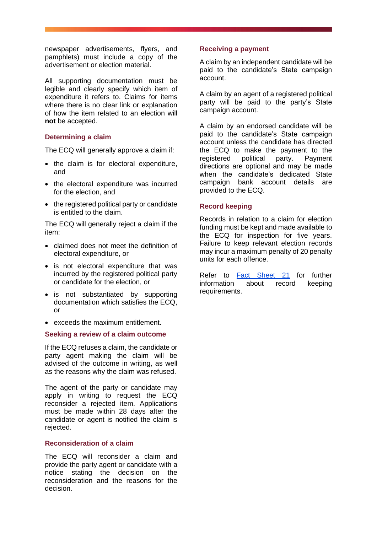newspaper advertisements, flyers, and pamphlets) must include a copy of the advertisement or election material.

All supporting documentation must be legible and clearly specify which item of expenditure it refers to. Claims for items where there is no clear link or explanation of how the item related to an election will **not** be accepted.

## **Determining a claim**

The ECQ will generally approve a claim if:

- the claim is for electoral expenditure, and
- the electoral expenditure was incurred for the election, and
- the registered political party or candidate is entitled to the claim.

The ECQ will generally reject a claim if the item:

- claimed does not meet the definition of electoral expenditure, or
- is not electoral expenditure that was incurred by the registered political party or candidate for the election, or
- is not substantiated by supporting documentation which satisfies the ECQ, or
- exceeds the maximum entitlement.

### **Seeking a review of a claim outcome**

If the ECQ refuses a claim, the candidate or party agent making the claim will be advised of the outcome in writing, as well as the reasons why the claim was refused.

The agent of the party or candidate may apply in writing to request the ECQ reconsider a rejected item. Applications must be made within 28 days after the candidate or agent is notified the claim is rejected.

# **Reconsideration of a claim**

The ECQ will reconsider a claim and provide the party agent or candidate with a notice stating the decision on the reconsideration and the reasons for the decision.

## **Receiving a payment**

A claim by an independent candidate will be paid to the candidate's State campaign account.

A claim by an agent of a registered political party will be paid to the party's State campaign account.

A claim by an endorsed candidate will be paid to the candidate's State campaign account unless the candidate has directed the ECQ to make the payment to the registered political party. Payment directions are optional and may be made when the candidate's dedicated State campaign bank account details are provided to the ECQ.

#### **Record keeping**

Records in relation to a claim for election funding must be kept and made available to the ECQ for inspection for five years. Failure to keep relevant election records may incur a maximum penalty of 20 penalty units for each offence.

Refer to [Fact Sheet 21](https://www.ecq.qld.gov.au/election-participants/handbooks,-fact-sheets-and-forms) for further information about record keeping requirements.